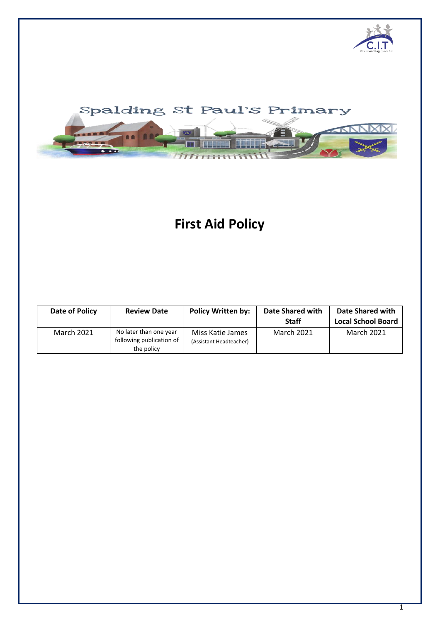



# **First Aid Policy**

| Date of Policy    | <b>Review Date</b>                                               | <b>Policy Written by:</b>                   | Date Shared with<br><b>Staff</b> | Date Shared with<br><b>Local School Board</b> |
|-------------------|------------------------------------------------------------------|---------------------------------------------|----------------------------------|-----------------------------------------------|
| <b>March 2021</b> | No later than one year<br>following publication of<br>the policy | Miss Katie James<br>(Assistant Headteacher) | <b>March 2021</b>                | <b>March 2021</b>                             |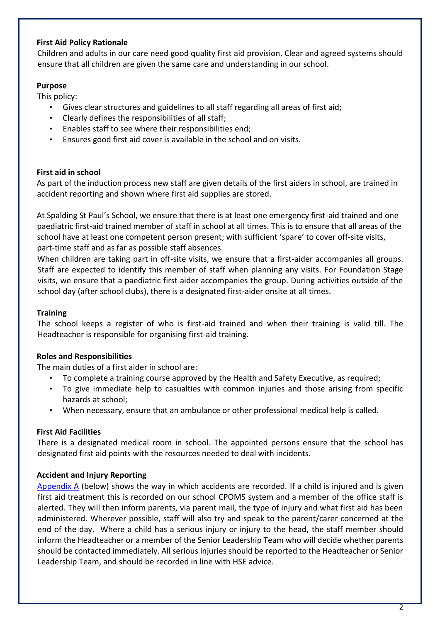# **First Aid Policy Rationale**

Children and adults in our care need good quality first aid provision. Clear and agreed systems should ensure that all children are given the same care and understanding in our school.

# **Purpose**

This policy:

- Gives clear structures and guidelines to all staff regarding all areas of first aid;
- Clearly defines the responsibilities of all staff;
- Enables staff to see where their responsibilities end;
- Ensures good first aid cover is available in the school and on visits.

# **First aid in school**

As part of the induction process new staff are given details of the first aiders in school, are trained in accident reporting and shown where first aid supplies are stored.

At Spalding St Paul's School, we ensure that there is at least one emergency first-aid trained and one paediatric first-aid trained member of staff in school at all times. This is to ensure that all areas of the school have at least one competent person present; with sufficient 'spare' to cover off-site visits, part-time staff and as far as possible staff absences.

When children are taking part in off-site visits, we ensure that a first-aider accompanies all groups. Staff are expected to identify this member of staff when planning any visits. For Foundation Stage visits, we ensure that a paediatric first aider accompanies the group. During activities outside of the school day (after school clubs), there is a designated first-aider onsite at all times.

# **Training**

The school keeps a register of who is first-aid trained and when their training is valid till. The Headteacher is responsible for organising first-aid training.

## **Roles and Responsibilities**

The main duties of a first aider in school are:

- To complete a training course approved by the Health and Safety Executive, as required;
- To give immediate help to casualties with common injuries and those arising from specific hazards at school;
- When necessary, ensure that an ambulance or other professional medical help is called.

# **First Aid Facilities**

There is a designated medical room in school. The appointed persons ensure that the school has designated first aid points with the resources needed to deal with incidents.

# **Accident and Injury Reporting**

Appendix A (below) shows the way in which accidents are recorded. If a child is injured and is given first aid treatment this is recorded on our school CPOMS system and a member of the office staff is alerted. They will then inform parents, via parent mail, the type of injury and what first aid has been administered. Wherever possible, staff will also try and speak to the parent/carer concerned at the end of the day. Where a child has a serious injury or injury to the head, the staff member should inform the Headteacher or a member of the Senior Leadership Team who will decide whether parents should be contacted immediately. All serious injuries should be reported to the Headteacher or Senior Leadership Team, and should be recorded in line with HSE advice.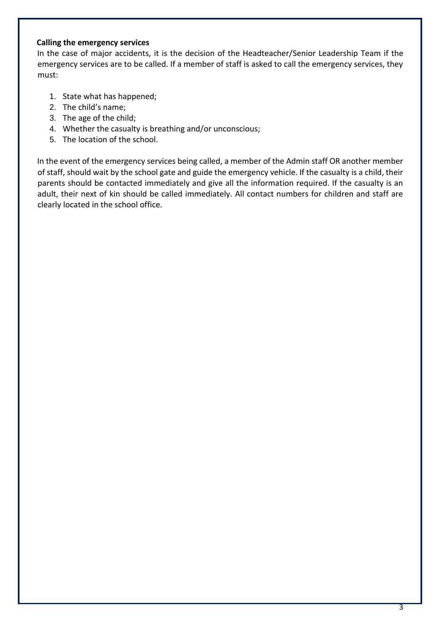# **Calling the emergency services**

In the case of major accidents, it is the decision of the Headteacher/Senior Leadership Team if the emergency services are to be called. If a member of staff is asked to call the emergency services, they must:

- 1. State what has happened;
- 2. The child's name;
- 3. The age of the child;
- 4. Whether the casualty is breathing and/or unconscious;
- 5. The location of the school.

In the event of the emergency services being called, a member of the Admin staff OR another member of staff, should wait by the school gate and guide the emergency vehicle. If the casualty is a child, their parents should be contacted immediately and give all the information required. If the casualty is an adult, their next of kin should be called immediately. All contact numbers for children and staff are clearly located in the school office.